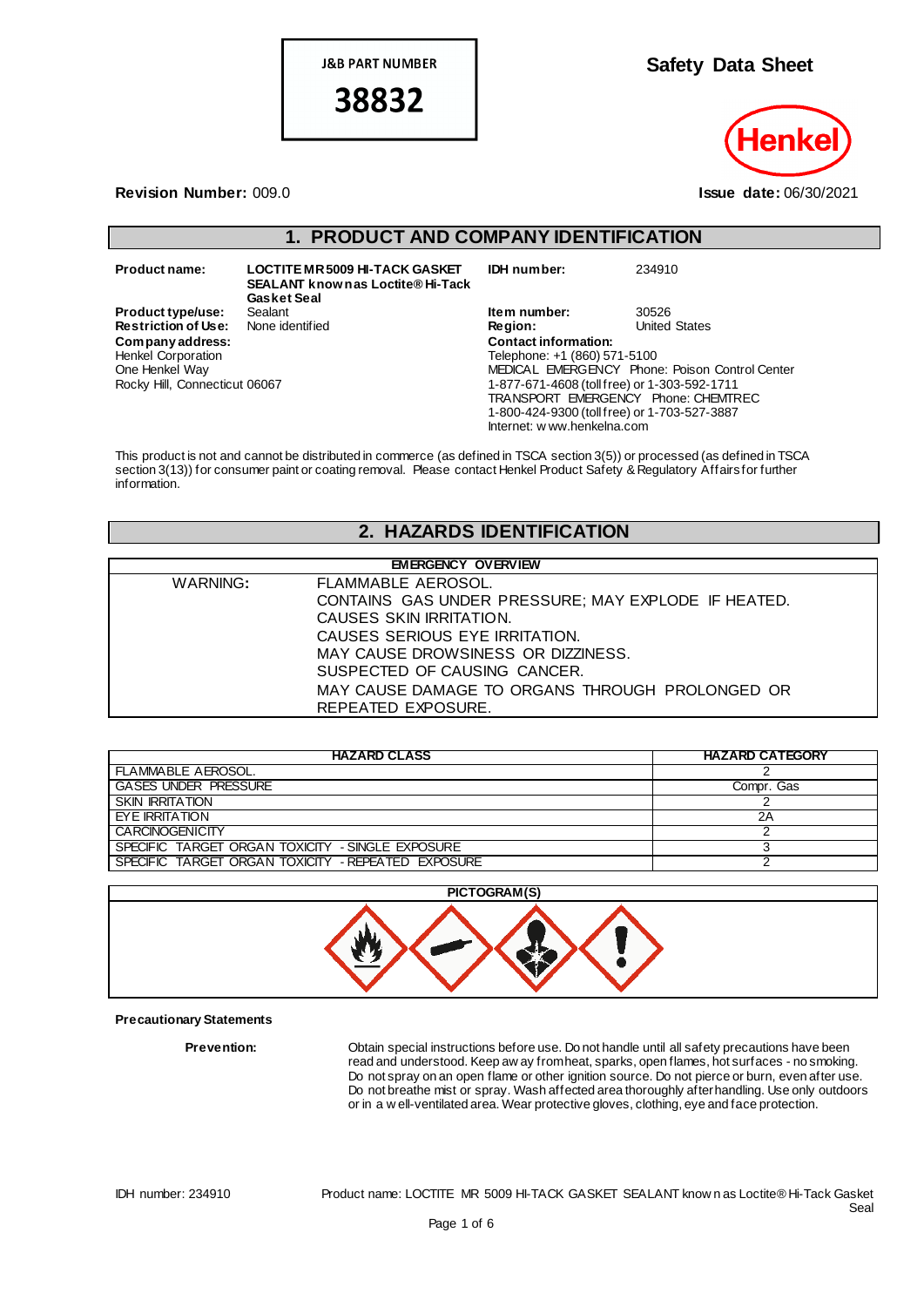**J&B PART NUMBER** 

38832

**Safety Data Sheet**



#### **Revision Number:** 009.0 **Issue date:** 06/30/2021

## **1. PRODUCT AND COMPANY IDENTIFICATION**

| Product name:                                                                                    | <b>LOCTITE MR 5009 HI-TACK GASKET</b><br><b>SEALANT knownas Loctite® Hi-Tack</b><br><b>Gasket Seal</b> | IDH number:                                                                                                                                                                                                                       | 234910                                         |
|--------------------------------------------------------------------------------------------------|--------------------------------------------------------------------------------------------------------|-----------------------------------------------------------------------------------------------------------------------------------------------------------------------------------------------------------------------------------|------------------------------------------------|
| <b>Product type/use:</b>                                                                         | Sealant                                                                                                | Item number:                                                                                                                                                                                                                      | 30526                                          |
| <b>Restriction of Use:</b>                                                                       | None identified                                                                                        | <b>Region:</b>                                                                                                                                                                                                                    | <b>United States</b>                           |
| Company address:<br><b>Henkel Corporation</b><br>One Henkel Way<br>Rocky Hill, Connecticut 06067 |                                                                                                        | <b>Contact information:</b><br>Telephone: +1 (860) 571-5100<br>1-877-671-4608 (toll free) or 1-303-592-1711<br>TRANSPORT EMERGENCY Phone: CHEMTREC<br>1-800-424-9300 (toll free) or 1-703-527-3887<br>Internet: w ww.henkelna.com | MEDICAL EMERGENCY Phone: Poison Control Center |

This product is not and cannot be distributed in commerce (as defined in TSCA section 3(5)) or processed (as defined in TSCA section 3(13)) for consumer paint or coating removal. Please contact Henkel Product Safety & Regulatory Affairs for further information.

# **2. HAZARDS IDENTIFICATION**

| <b>EMERGENCY OVERVIEW</b>                           |  |  |
|-----------------------------------------------------|--|--|
| FLAMMABLE AEROSOL.                                  |  |  |
| CONTAINS GAS UNDER PRESSURE; MAY EXPLODE IF HEATED. |  |  |
| CAUSES SKIN IRRITATION.                             |  |  |
| CAUSES SERIOUS EYE IRRITATION.                      |  |  |
| MAY CAUSE DROWSINESS OR DIZZINESS.                  |  |  |
| SUSPECTED OF CAUSING CANCER.                        |  |  |
| MAY CAUSE DAMAGE TO ORGANS THROUGH PROLONGED OR     |  |  |
| REPEATED EXPOSURE.                                  |  |  |
|                                                     |  |  |

| <b>HAZARD CLASS</b>                                | <b>HAZARD CATEGORY</b> |
|----------------------------------------------------|------------------------|
| FLAMMABLE AEROSOL.                                 |                        |
| <b>GASES UNDER PRESSURE</b>                        | Compr. Gas             |
| <b>SKIN IRRITATION</b>                             |                        |
| <b>FYF IRRITATION</b>                              | 2Α                     |
| <b>CARCINOGENICITY</b>                             |                        |
| SPECIFIC TARGET ORGAN TOXICITY - SINGLE EXPOSURE   |                        |
| SPECIFIC TARGET ORGAN TOXICITY - REPEATED EXPOSURE |                        |



#### **Precautionary Statements**

**Prevention:** Obtain special instructions before use. Do not handle until all safety precautions have been read and understood. Keep aw ay from heat, sparks, open flames, hot surfaces - no smoking. Do not spray on an open flame or other ignition source. Do not pierce or burn, even after use. Do not breathe mist or spray. Wash affected area thoroughly after handling. Use only outdoors or in a w ell-ventilated area. Wear protective gloves, clothing, eye and face protection.

IDH number: 234910 Product name: LOCTITE MR 5009 HI-TACK GASKET SEALANT know n as Loctite® Hi-Tack Gasket Seal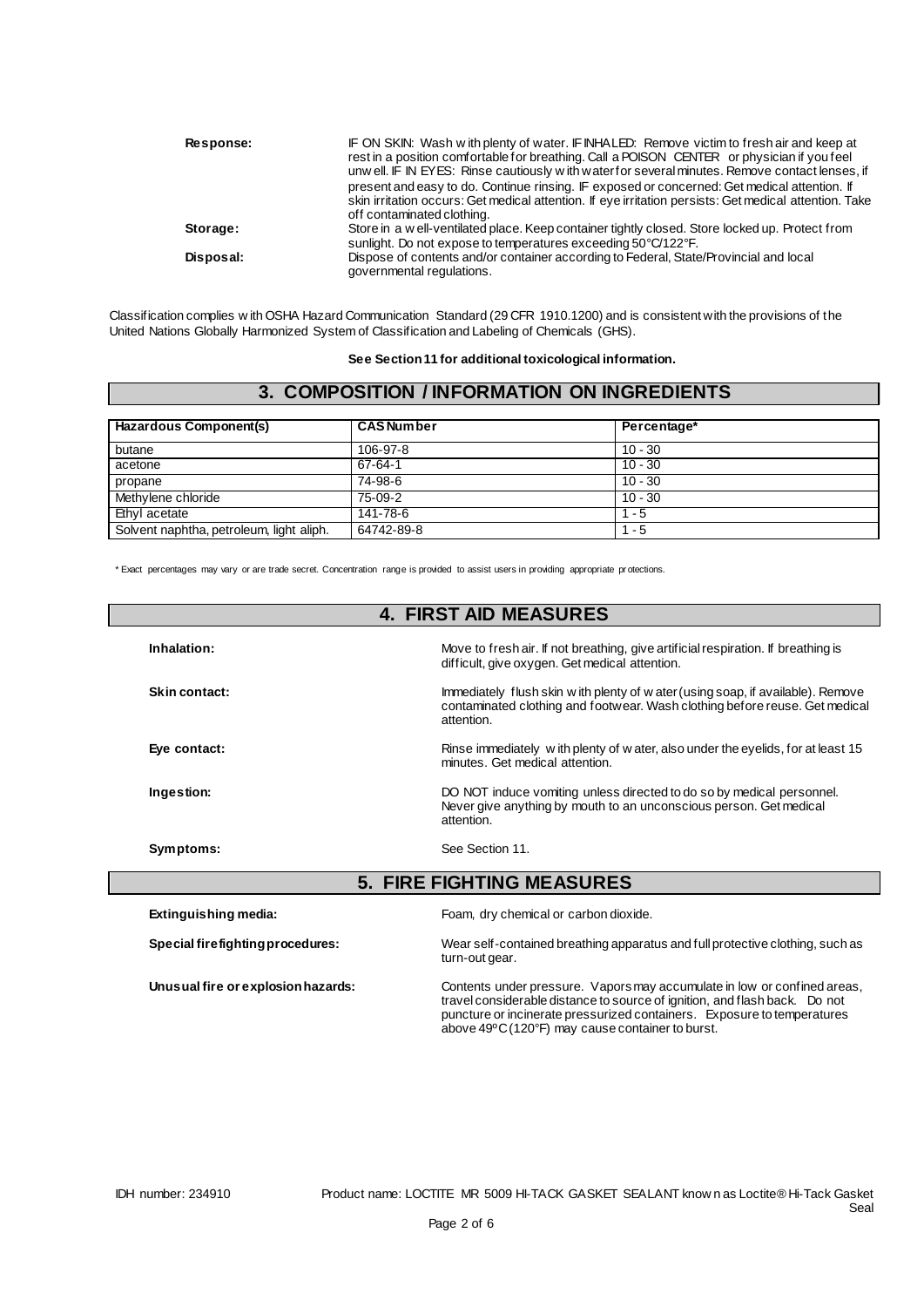| Response: | IF ON SKIN: Wash with plenty of water. IF INHALED: Remove victim to fresh air and keep at<br>rest in a position comfortable for breathing. Call a POISON CENTER or physician if you feel |
|-----------|------------------------------------------------------------------------------------------------------------------------------------------------------------------------------------------|
|           | unw ell. IF IN EYES: Rinse cautiously w ith water for several minutes. Remove contact lenses, if                                                                                         |
|           | present and easy to do. Continue rinsing. IF exposed or concerned: Get medical attention. If                                                                                             |
|           | skin irritation occurs: Get medical attention. If eye irritation persists: Get medical attention. Take                                                                                   |
|           | off contaminated clothing.                                                                                                                                                               |
| Storage:  | Store in a well-ventilated place. Keep container tightly closed. Store locked up. Protect from<br>sunlight. Do not expose to temperatures exceeding 50°C/122°F.                          |
| Disposal: | Dispose of contents and/or container according to Federal, State/Provincial and local<br>governmental regulations.                                                                       |

Classification complies w ith OSHA Hazard Communication Standard (29 CFR 1910.1200) and is consistent with the provisions of the United Nations Globally Harmonized System of Classification and Labeling of Chemicals (GHS).

**See Section 11 for additional toxicological information.**

## **3. COMPOSITION / INFORMATION ON INGREDIENTS**

| Hazardous Component(s)                   | <b>CAS Number</b> | Percentage* |
|------------------------------------------|-------------------|-------------|
| butane                                   | 106-97-8          | $10 - 30$   |
| acetone                                  | 67-64-1           | $10 - 30$   |
| propane                                  | 74-98-6           | $10 - 30$   |
| Methylene chloride                       | 75-09-2           | $10 - 30$   |
| Ethyl acetate                            | 141-78-6          | $1 - 5$     |
| Solvent naphtha, petroleum, light aliph. | 64742-89-8        | $1 - 5$     |

\* Exact percentages may vary or are trade secret. Concentration range is provided to assist users in providing appropriate pr otections.

| <b>4. FIRST AID MEASURES</b> |                                  |                                                                                                                                                                               |
|------------------------------|----------------------------------|-------------------------------------------------------------------------------------------------------------------------------------------------------------------------------|
| Inhalation:                  |                                  | Move to fresh air. If not breathing, give artificial respiration. If breathing is<br>difficult, give oxygen. Get medical attention.                                           |
| Skin contact:                |                                  | Immediately flush skin w ith plenty of w ater (using soap, if available). Remove<br>contaminated clothing and footwear. Wash clothing before reuse. Get medical<br>attention. |
| Eye contact:                 |                                  | Rinse immediately with plenty of w ater, also under the eyelids, for at least 15<br>minutes. Get medical attention.                                                           |
| Ingestion:                   |                                  | DO NOT induce vomiting unless directed to do so by medical personnel.<br>Never give anything by mouth to an unconscious person. Get medical<br>attention.                     |
| Symptoms:                    |                                  | See Section 11.                                                                                                                                                               |
|                              |                                  | <b>5. FIRE FIGHTING MEASURES</b>                                                                                                                                              |
| Extinguishing media:         |                                  | Foam, dry chemical or carbon dioxide.                                                                                                                                         |
|                              | Special firefighting procedures: | Wear self-contained breathing apparatus and full protective clothing, such as<br>turn-out gear.                                                                               |

**Unusual fire or explosion hazards:** Contents under pressure. Vapors may accumulate in low or confined areas, travel considerable distance to source of ignition, and flash back. Do not puncture or incinerate pressurized containers. Exposure to temperatures above 49ºC (120°F) may cause container to burst.

 $\overline{\phantom{a}}$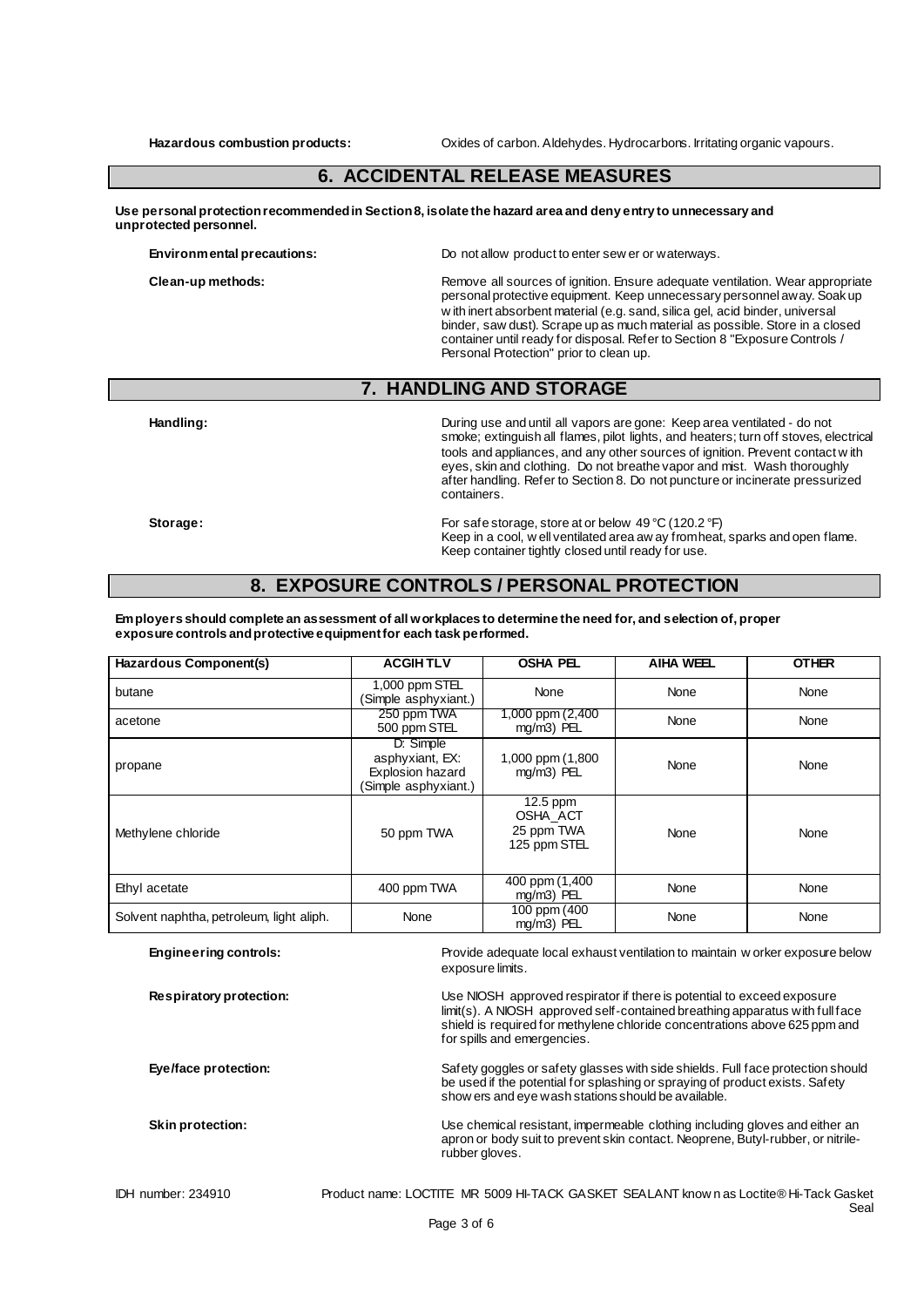**Hazardous combustion products:** Oxides of carbon. Aldehydes. Hydrocarbons. Irritating organic vapours.

## **6. ACCIDENTAL RELEASE MEASURES**

**Use personal protection recommended in Section 8, isolate the hazard area and deny entry to unnecessary and unprotected personnel.**

**Environmental precautions:** Do not allow product to enter sew er or waterways.

**Clean-up methods:** Remove all sources of ignition. Ensure adequate ventilation. Wear appropriate personal protective equipment. Keep unnecessary personnel away. Soak up w ith inert absorbent material (e.g. sand, silica gel, acid binder, universal binder, saw dust). Scrape up as much material as possible. Store in a closed container until ready for disposal. Refer to Section 8 "Exposure Controls / Personal Protection" prior to clean up.

## **7. HANDLING AND STORAGE**

**Handling:** During use and until all vapors are gone: Keep area ventilated - do not smoke; extinguish all flames, pilot lights, and heaters; turn off stoves, electrical tools and appliances, and any other sources of ignition. Prevent contact w ith eyes, skin and clothing. Do not breathe vapor and mist. Wash thoroughly after handling. Refer to Section 8. Do not puncture or incinerate pressurized containers.

**Storage:** For safe storage, store at or below 49 °C (120.2 °F) Keep in a cool, w ell ventilated area aw ay from heat, sparks and open flame. Keep container tightly closed until ready for use.

Seal

## **8. EXPOSURE CONTROLS / PERSONAL PROTECTION**

**Employers should complete an assessment of all workplaces to determine the need for, and selection of, proper exposure controls and protective equipment for each task performed.**

| Hazardous Component(s)                   | <b>ACGIHTLV</b>                                                          | <b>OSHA PEL</b>                                      | <b>AIHA WEEL</b> | <b>OTHER</b> |
|------------------------------------------|--------------------------------------------------------------------------|------------------------------------------------------|------------------|--------------|
| butane                                   | 1,000 ppm STEL<br>(Simple asphyxiant.)                                   | None                                                 | None             | None         |
| acetone                                  | 250 ppm TWA<br>500 ppm STEL                                              | 1,000 ppm (2,400<br>mg/m3) PEL                       | None             | None         |
| propane                                  | D: Simple<br>asphyxiant, EX:<br>Explosion hazard<br>(Simple asphyxiant.) | 1,000 ppm (1,800<br>mg/m3) PEL                       | None             | None         |
| Methylene chloride                       | 50 ppm TWA                                                               | $12.5$ ppm<br>OSHA_ACT<br>25 ppm TWA<br>125 ppm STEL | None             | None         |
| Ethyl acetate                            | 400 ppm TWA                                                              | 400 ppm (1,400<br>mg/m3) PEL                         | None             | None         |
| Solvent naphtha, petroleum, light aliph. | None                                                                     | 100 ppm (400<br>mg/m3) PEL                           | None             | None         |

| <b>Engineering controls:</b> | Provide adequate local exhaust ventilation to maintain w orker exposure below<br>exposure limits.                                                                                                                                                                   |
|------------------------------|---------------------------------------------------------------------------------------------------------------------------------------------------------------------------------------------------------------------------------------------------------------------|
| Respiratory protection:      | Use NIOSH approved respirator if there is potential to exceed exposure<br>limit(s). A NIOSH approved self-contained breathing apparatus with full face<br>shield is required for methylene chloride concentrations above 625 ppm and<br>for spills and emergencies. |
| Eye/face protection:         | Safety goggles or safety glasses with side shields. Full face protection should<br>be used if the potential for splashing or spraying of product exists. Safety<br>show ers and eye wash stations should be available.                                              |
| Skin protection:             | Use chemical resistant, impermeable clothing including gloves and either an<br>apron or body suit to prevent skin contact. Neoprene, Butyl-rubber, or nitrile-<br>rubber gloves.                                                                                    |
| <b>IDH</b> number: 234910    | Product name: LOCTITE MR 5009 HI-TACK GASKET SEALANT know n as Loctite® Hi-Tack Gasket                                                                                                                                                                              |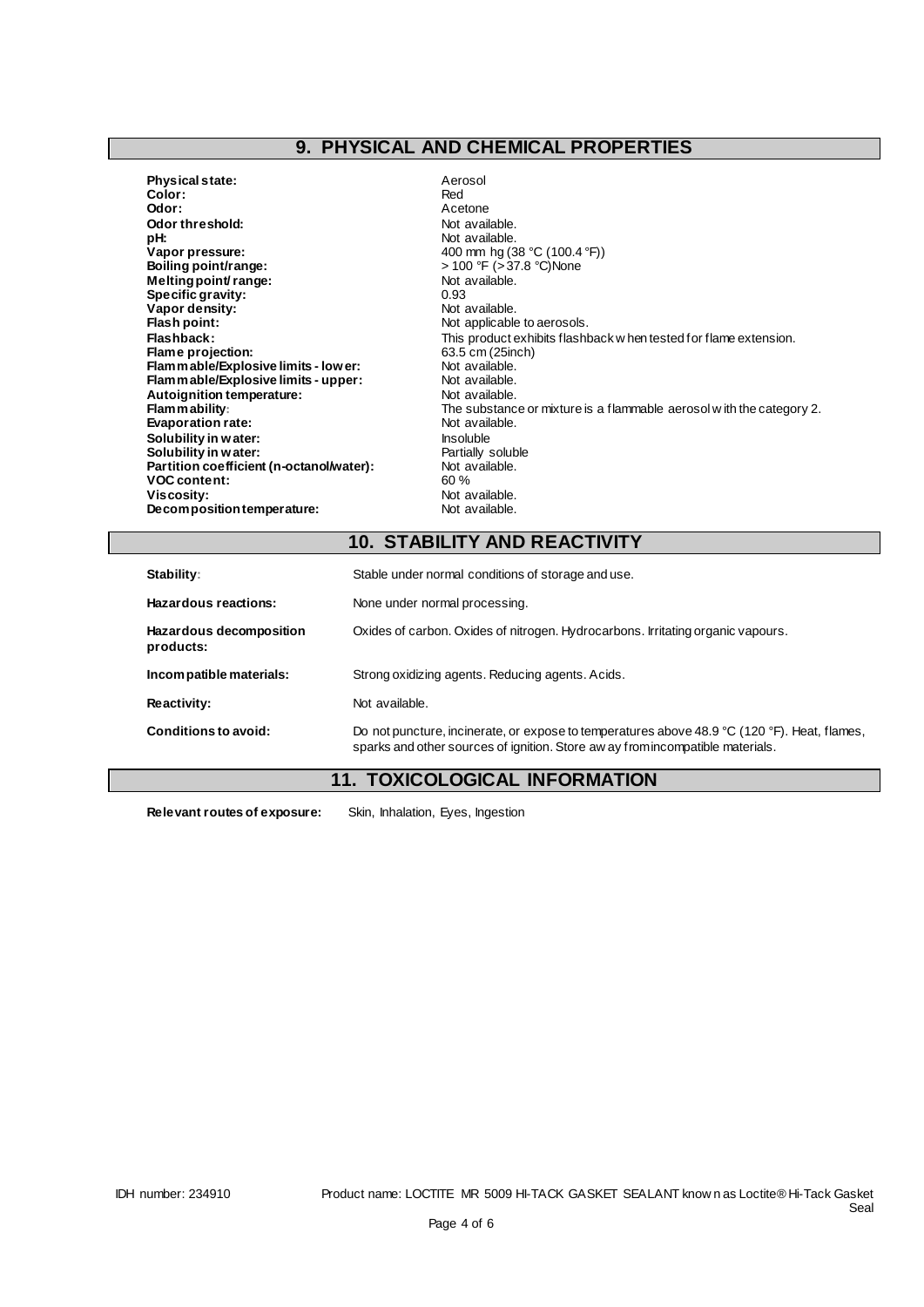# **9. PHYSICAL AND CHEMICAL PROPERTIES**

- **Physical state:** Aerosol<br> **Color:** Red Color:<br>Odor: **Odor threshold:** Not available.<br> **pH:** Not available. pH:<br>Vapor pressure: **Vapor pressure:**<br> **Vapor pressure:** 400 mm hg (38 °C (100.4 °F))<br> **Boiling point/range:**  $\rightarrow$  400 °F (>37.8 °C)None **Melting point/ range:** Not a Not a Not a Not a Not a Not a Not a Not a Not a Not a Not a Not a Not a Not a Not a Not a Not a Not a Not a Not a Not a Not a Not a Not a Not a Not a Not a Not a Not a Not a Not a Not a Not a **Specific gravity:**  $\begin{array}{ccc} 0.93 \\ Vapor density: \end{array}$  Not available. **Vapor density:**<br>Flash point: **Flash point: Not applicable to aerosols.**<br> **Flashback:** This product exhibits flash **Flame projection: Flame projection: Flammable/Explosive limits - lower: Flammable** Not available. **Flammable/Explosive limits - lower:** Not available.<br> **Flammable/Explosive limits - upper:** Not available. **Flammable/Explosive limits - upper:** Not available.<br> **Autoignition temperature:** Not available. Autoignition temperature:<br>Flam mability: **Evaporation rate:** Not available.<br> **Solubility in water:** Not available. Not available. **Solubility in water:**<br> **Solubility in water:** Insoluble<br> **Solubility in water:** Insoluble Partially soluble **Solubility in water: Partially solut Partially solut Partially solute Partially solute Partially solute Partially solute Partially solute Partially solute Partially solute Partially solute Partial Partial Partial Partia Partition coefficient (n-octanol/water):** Not a<br>VOC content: 60 % **VOC content:**<br>Viscosity: **Decomposition temperature:** 
	- Acetone<br>Not available. **boiling boiling point**<br>Not available. This product exhibits flashback w hen tested for flame extension.<br>63.5 cm (25inch) The substance or mixture is a flammable aerosol w ith the category 2.<br>Not available. Not available.<br>Not available.

## **10. STABILITY AND REACTIVITY**

| Stability:                           | Stable under normal conditions of storage and use.                                                                                                                             |  |  |
|--------------------------------------|--------------------------------------------------------------------------------------------------------------------------------------------------------------------------------|--|--|
| Hazardous reactions:                 | None under normal processing.                                                                                                                                                  |  |  |
| Hazardous decomposition<br>products: | Oxides of carbon. Oxides of nitrogen. Hydrocarbons. Irritating organic vapours.                                                                                                |  |  |
| Incompatible materials:              | Strong oxidizing agents. Reducing agents. Acids.                                                                                                                               |  |  |
| Reactivity:                          | Not available.                                                                                                                                                                 |  |  |
| Conditions to avoid:                 | Do not puncture, incinerate, or expose to temperatures above 48.9 °C (120 °F). Heat, flames,<br>sparks and other sources of ignition. Store aw ay from incompatible materials. |  |  |

# **11. TOXICOLOGICAL INFORMATION**

**Relevant routes of exposure:** Skin, Inhalation, Eyes, Ingestion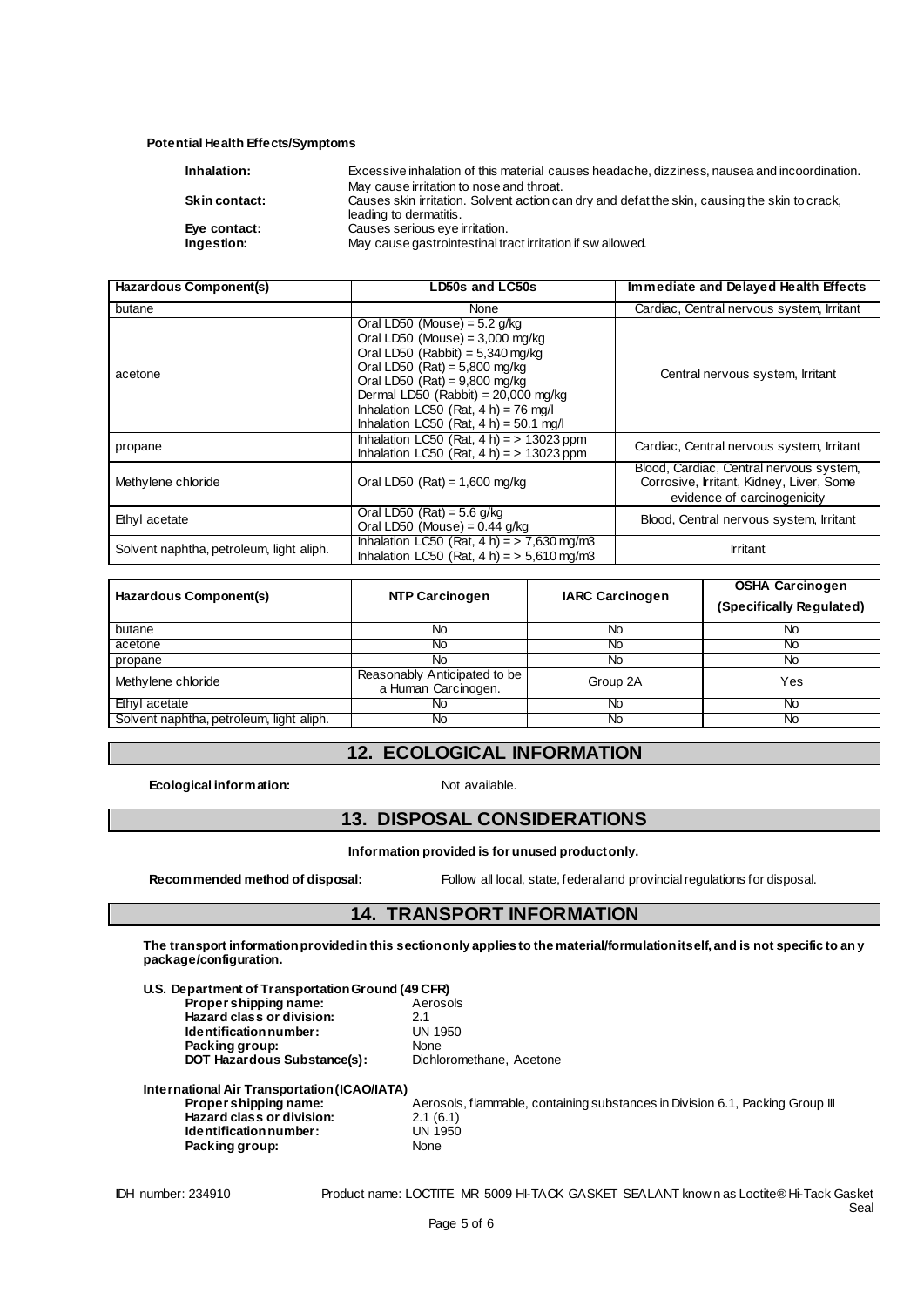#### **Potential Health Effects/Symptoms**

| Inhalation:          | Excessive inhalation of this material causes headache, dizziness, nausea and incoordination.                            |
|----------------------|-------------------------------------------------------------------------------------------------------------------------|
|                      | May cause irritation to nose and throat.                                                                                |
| <b>Skin contact:</b> | Causes skin irritation. Solvent action can dry and defat the skin, causing the skin to crack,<br>leading to dermatitis. |
| Eye contact:         | Causes serious eye irritation.                                                                                          |
| Ingestion:           | May cause gastrointestinal tract irritation if swallowed.                                                               |

| Hazardous Component(s)                   | LD50s and LC50s                                                                                                                                                                                                                                                                                                  | Immediate and Delayed Health Effects                                                                               |
|------------------------------------------|------------------------------------------------------------------------------------------------------------------------------------------------------------------------------------------------------------------------------------------------------------------------------------------------------------------|--------------------------------------------------------------------------------------------------------------------|
| butane                                   | <b>None</b>                                                                                                                                                                                                                                                                                                      | Cardiac, Central nervous system, Irritant                                                                          |
| acetone                                  | Oral LD50 (Mouse) = $5.2$ g/kg<br>Oral LD50 (Mouse) = $3,000$ mg/kg<br>Oral LD50 (Rabbit) = $5,340$ mg/kg<br>Oral LD50 $(Rat) = 5,800$ mg/kg<br>Oral LD50 $(Rat) = 9,800$ mg/kg<br>Dermal LD50 (Rabbit) = $20,000$ mg/kg<br>Inhalation LC50 (Rat, $4 h$ ) = 76 mg/l<br>Inhalation LC50 (Rat, $4 h$ ) = 50.1 mg/l | Central nervous system, Irritant                                                                                   |
| propane                                  | Inhalation LC50 (Rat, $4 h$ ) = > 13023 ppm<br>Inhalation LC50 (Rat, $4 h$ ) = > 13023 ppm                                                                                                                                                                                                                       | Cardiac, Central nervous system, Irritant                                                                          |
| Methylene chloride                       | Oral LD50 $(Rat) = 1,600$ mg/kg                                                                                                                                                                                                                                                                                  | Blood, Cardiac, Central nervous system,<br>Corrosive, Irritant, Kidney, Liver, Some<br>evidence of carcinogenicity |
| Ethyl acetate                            | Oral LD50 (Rat) = $5.6$ g/kg<br>Oral LD50 (Mouse) = $0.44$ g/kg                                                                                                                                                                                                                                                  | Blood, Central nervous system, Irritant                                                                            |
| Solvent naphtha, petroleum, light aliph. | Inhalation LC50 (Rat, $4 h$ ) = > 7,630 mg/m3<br>Inhalation LC50 (Rat, $4 h$ ) = $> 5.610$ mg/m3                                                                                                                                                                                                                 | <b>Irritant</b>                                                                                                    |

| Hazardous Component(s)                   | <b>NTP Carcinogen</b>                               | <b>IARC Carcinogen</b> | <b>OSHA Carcinogen</b><br>(Specifically Regulated) |
|------------------------------------------|-----------------------------------------------------|------------------------|----------------------------------------------------|
| butane                                   | No                                                  | No                     | No                                                 |
| acetone                                  | Νo                                                  | N0                     | No                                                 |
| propane                                  | No                                                  | No                     | No                                                 |
| Methylene chloride                       | Reasonably Anticipated to be<br>a Human Carcinogen. | Group 2A               | Yes                                                |
| Ethyl acetate                            | NΟ                                                  | Νo                     | No                                                 |
| Solvent naphtha, petroleum, light aliph. | No.                                                 | <b>NO</b>              | No.                                                |

# **12. ECOLOGICAL INFORMATION**

**Ecological information:** Not available.

## **13. DISPOSAL CONSIDERATIONS**

**Information provided is for unused product only.**

**Recommended method of disposal:** Follow all local, state, federal and provincial regulations for disposal.

# **14. TRANSPORT INFORMATION**

**The transport information provided in this section only applies to the material/formulation itself, and is not specific to any package/configuration.**

| U.S. Department of Transportation Ground (49 CFR) |                          |
|---------------------------------------------------|--------------------------|
| Propershipping name:                              | Aerosols                 |
| Hazard class or division:                         | 2.1                      |
| Identification number:                            | <b>UN 1950</b>           |
| Packing group:                                    | None                     |
| <b>DOT Hazardous Substance(s):</b>                | Dichloromethane, Acetone |
|                                                   |                          |
|                                                   |                          |

| International Air Transportation (ICAO/IATA) |                                                                               |
|----------------------------------------------|-------------------------------------------------------------------------------|
| Proper shipping name:                        | Aerosols, flammable, containing substances in Division 6.1, Packing Group III |
| Hazard class or division:                    | 2.1(6.1)                                                                      |
| Identification number:                       | UN 1950                                                                       |
| Packing group:                               | None                                                                          |